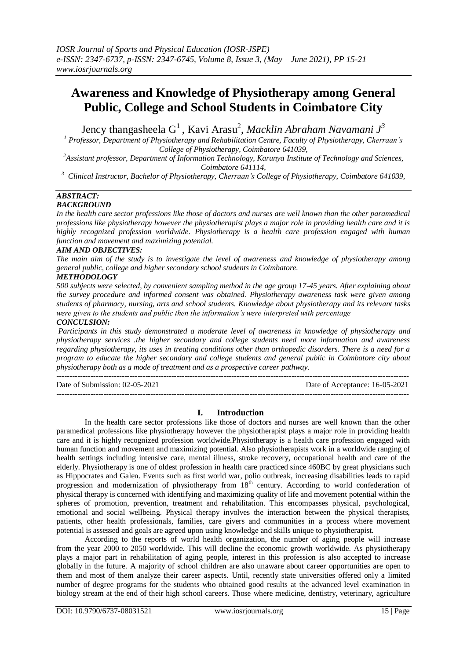# **Awareness and Knowledge of Physiotherapy among General Public, College and School Students in Coimbatore City**

Jency thangasheela G <sup>1</sup>, Kavi Arasu<sup>2</sup> , *Macklin Abraham Navamani J<sup>3</sup>*

*<sup>1</sup> Professor, Department of Physiotherapy and Rehabilitation Centre, Faculty of Physiotherapy, Cherraan's College of Physiotherapy, Coimbatore 641039,*

*<sup>2</sup>Assistant professor, Department of Information Technology, Karunya Institute of Technology and Sciences, Coimbatore 641114,*

*<sup>3</sup> Clinical Instructor, Bachelor of Physiotherapy, Cherraan's College of Physiotherapy, Coimbatore 641039,*

# *ABSTRACT:*

# *BACKGROUND*

*In the health care sector professions like those of doctors and nurses are well known than the other paramedical professions like physiotherapy however the physiotherapist plays a major role in providing health care and it is highly recognized profession worldwide. Physiotherapy is a health care profession engaged with human function and movement and maximizing potential.*

#### *AIM AND OBJECTIVES:*

*The main aim of the study is to investigate the level of awareness and knowledge of physiotherapy among general public, college and higher secondary school students in Coimbatore.*

#### *METHODOLOGY*

*500 subjects were selected, by convenient sampling method in the age group 17-45 years. After explaining about the survey procedure and informed consent was obtained. Physiotherapy awareness task were given among students of pharmacy, nursing, arts and school students. Knowledge about physiotherapy and its relevant tasks were given to the students and public then the information's were interpreted with percentage*

### *CONCULSION:*

*Participants in this study demonstrated a moderate level of awareness in knowledge of physiotherapy and physiotherapy services .the higher secondary and college students need more information and awareness regarding physiotherapy, its uses in treating conditions other than orthopedic disorders. There is a need for a program to educate the higher secondary and college students and general public in Coimbatore city about physiotherapy both as a mode of treatment and as a prospective career pathway.*

 $-1\leq i\leq n-1$ 

---------------------------------------------------------------------------------------------------------------------------------------

Date of Submission: 02-05-2021 Date of Acceptance: 16-05-2021

#### **I. Introduction**

In the health care sector professions like those of doctors and nurses are well known than the other paramedical professions like physiotherapy however the physiotherapist plays a major role in providing health care and it is highly recognized profession worldwide.Physiotherapy is a health care profession engaged with human function and movement and maximizing potential. Also physiotherapists work in a worldwide ranging of health settings including intensive care, mental illness, stroke recovery, occupational health and care of the elderly. Physiotherapy is one of oldest profession in health care practiced since 460BC by great physicians such as Hippocrates and Galen. Events such as first world war, polio outbreak, increasing disabilities leads to rapid progression and modernization of physiotherapy from 18<sup>th</sup> century. According to world confederation of physical therapy is concerned with identifying and maximizing quality of life and movement potential within the spheres of promotion, prevention, treatment and rehabilitation. This encompasses physical, psychological, emotional and social wellbeing. Physical therapy involves the interaction between the physical therapists, patients, other health professionals, families, care givers and communities in a process where movement potential is assessed and goals are agreed upon using knowledge and skills unique to physiotherapist.

According to the reports of world health organization, the number of aging people will increase from the year 2000 to 2050 worldwide. This will decline the economic growth worldwide. As physiotherapy plays a major part in rehabilitation of aging people, interest in this profession is also accepted to increase globally in the future. A majority of school children are also unaware about career opportunities are open to them and most of them analyze their career aspects. Until, recently state universities offered only a limited number of degree programs for the students who obtained good results at the advanced level examination in biology stream at the end of their high school careers. Those where medicine, dentistry, veterinary, agriculture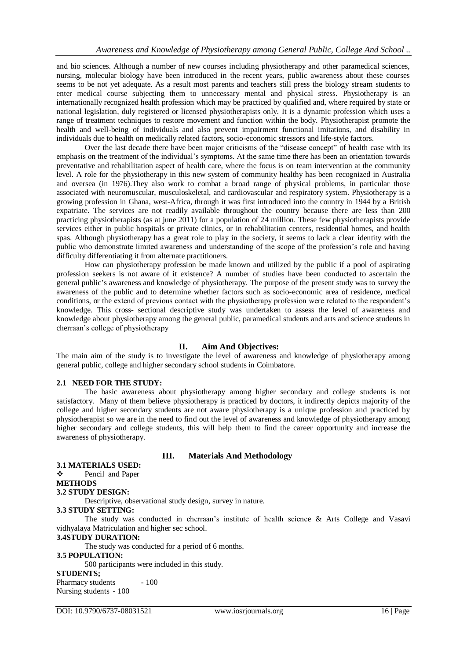and bio sciences. Although a number of new courses including physiotherapy and other paramedical sciences, nursing, molecular biology have been introduced in the recent years, public awareness about these courses seems to be not yet adequate. As a result most parents and teachers still press the biology stream students to enter medical course subjecting them to unnecessary mental and physical stress. Physiotherapy is an internationally recognized health profession which may be practiced by qualified and, where required by state or national legislation, duly registered or licensed physiotherapists only. It is a dynamic profession which uses a range of treatment techniques to restore movement and function within the body. Physiotherapist promote the health and well-being of individuals and also prevent impairment functional imitations, and disability in individuals due to health on medically related factors, socio-economic stressors and life-style factors.

Over the last decade there have been major criticisms of the "disease concept" of health case with its emphasis on the treatment of the individual's symptoms. At the same time there has been an orientation towards preventative and rehabilitation aspect of health care, where the focus is on team intervention at the community level. A role for the physiotherapy in this new system of community healthy has been recognized in Australia and oversea (in 1976).They also work to combat a broad range of physical problems, in particular those associated with neuromuscular, musculoskeletal, and cardiovascular and respiratory system. Physiotherapy is a growing profession in Ghana, west-Africa, through it was first introduced into the country in 1944 by a British expatriate. The services are not readily available throughout the country because there are less than 200 practicing physiotherapists (as at june 2011) for a population of 24 million. These few physiotherapists provide services either in public hospitals or private clinics, or in rehabilitation centers, residential homes, and health spas. Although physiotherapy has a great role to play in the society, it seems to lack a clear identity with the public who demonstrate limited awareness and understanding of the scope of the profession's role and having difficulty differentiating it from alternate practitioners.

How can physiotherapy profession be made known and utilized by the public if a pool of aspirating profession seekers is not aware of it existence? A number of studies have been conducted to ascertain the general public's awareness and knowledge of physiotherapy. The purpose of the present study was to survey the awareness of the public and to determine whether factors such as socio-economic area of residence, medical conditions, or the extend of previous contact with the physiotherapy profession were related to the respondent's knowledge. This cross- sectional descriptive study was undertaken to assess the level of awareness and knowledge about physiotherapy among the general public, paramedical students and arts and science students in cherraan's college of physiotherapy

#### **II. Aim And Objectives:**

The main aim of the study is to investigate the level of awareness and knowledge of physiotherapy among general public, college and higher secondary school students in Coimbatore.

#### **2.1 NEED FOR THE STUDY:**

The basic awareness about physiotherapy among higher secondary and college students is not satisfactory. Many of them believe physiotherapy is practiced by doctors, it indirectly depicts majority of the college and higher secondary students are not aware physiotherapy is a unique profession and practiced by physiotherapist so we are in the need to find out the level of awareness and knowledge of physiotherapy among higher secondary and college students, this will help them to find the career opportunity and increase the awareness of physiotherapy.

#### **III. Materials And Methodology**

#### **3.1 MATERIALS USED:**

### ❖ Pencil and Paper

#### **METHODS**

#### **3.2 STUDY DESIGN:**

Descriptive, observational study design, survey in nature.

#### **3.3 STUDY SETTING:**

The study was conducted in cherraan's institute of health science & Arts College and Vasavi vidhyalaya Matriculation and higher sec school.

#### **3.4STUDY DURATION:**

The study was conducted for a period of 6 months.

#### **3.5 POPULATION:**

500 participants were included in this study.

#### **STUDENTS;**

Pharmacy students - 100 Nursing students - 100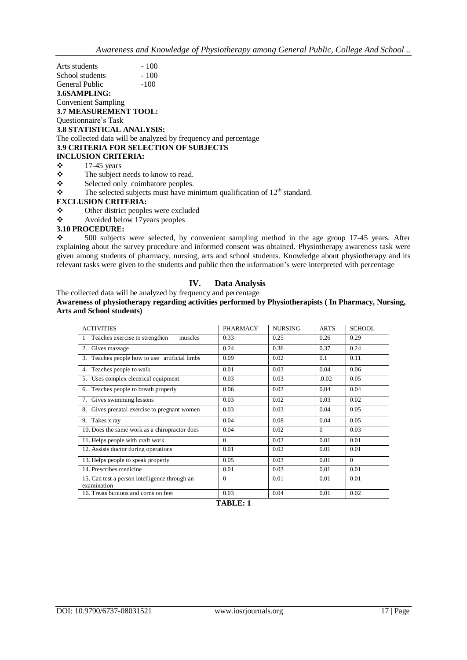| Arts students                    | $-100$                                                          |  |
|----------------------------------|-----------------------------------------------------------------|--|
| School students                  | $-100$                                                          |  |
| General Public                   | $-100$                                                          |  |
| 3.6SAMPLING:                     |                                                                 |  |
| Convenient Sampling              |                                                                 |  |
| <b>3.7 MEASUREMENT TOOL:</b>     |                                                                 |  |
| Questionnaire's Task             |                                                                 |  |
| <b>3.8 STATISTICAL ANALYSIS:</b> |                                                                 |  |
|                                  | The collected data will be analyzed by frequency and percentage |  |
|                                  | <b>3.9 CRITERIA FOR SELECTION OF SUBJECTS</b>                   |  |
| <b>INCLUSION CRITERIA:</b>       |                                                                 |  |
| ❖<br>$17-45$ years               |                                                                 |  |
| ❖                                | The subject needs to know to read.                              |  |
| $\bullet$                        | Selected only coimbatore peoples                                |  |

 $\ddot{\cdot}$  Selected only coimbatore peoples.<br> $\ddot{\cdot}$  The selected subjects must have mi The selected subjects must have minimum qualification of  $12<sup>th</sup>$  standard.

#### **EXCLUSION CRITERIA:**

- Other district peoples were excluded
- $\triangle$  Avoided below 17 years peoples

#### **3.10 PROCEDURE:**

 $\div$  500 subjects were selected, by convenient sampling method in the age group 17-45 years. After explaining about the survey procedure and informed consent was obtained. Physiotherapy awareness task were given among students of pharmacy, nursing, arts and school students. Knowledge about physiotherapy and its relevant tasks were given to the students and public then the information's were interpreted with percentage

#### **IV. Data Analysis**

The collected data will be analyzed by frequency and percentage **Awareness of physiotherapy regarding activities performed by Physiotherapists ( In Pharmacy, Nursing, Arts and School students)** 

| <b>ACTIVITIES</b>                                            | <b>PHARMACY</b> | <b>NURSING</b> | <b>ARTS</b> | <b>SCHOOL</b> |
|--------------------------------------------------------------|-----------------|----------------|-------------|---------------|
| Teaches exercise to strengthen<br>muscles                    | 0.33            | 0.25           | 0.26        | 0.29          |
| Gives massage                                                | 0.24            | 0.36           | 0.37        | 0.24          |
| 3. Teaches people how to use artificial limbs                | 0.09            | 0.02           | 0.1         | 0.11          |
| 4. Teaches people to walk                                    | 0.01            | 0.03           | 0.04        | 0.06          |
| 5. Uses complex electrical equipment                         | 0.03            | 0.03           | .0.02       | 0.05          |
| 6. Teaches people to breath properly                         | 0.06            | 0.02           | 0.04        | 0.04          |
| 7. Gives swimming lessons                                    | 0.03            | 0.02           | 0.03        | 0.02          |
| Gives prenatal exercise to pregnant women<br>8.              | 0.03            | 0.03           | 0.04        | 0.05          |
| 9. Takes x ray                                               | 0.04            | 0.08           | 0.04        | 0.05          |
| 10. Does the same work as a chiropractor does                | 0.04            | 0.02           | $\Omega$    | 0.03          |
| 11. Helps people with craft work                             | $\Omega$        | 0.02           | 0.01        | 0.01          |
| 12. Assists doctor during operations                         | 0.01            | 0.02           | 0.01        | 0.01          |
| 13. Helps people to speak properly                           | 0.05            | 0.03           | 0.01        | $\theta$      |
| 14. Prescribes medicine                                      | 0.01            | 0.03           | 0.01        | 0.01          |
| 15. Can test a person intelligence through an<br>examination | $\Omega$        | 0.01           | 0.01        | 0.01          |
| 16. Treats bunions and corns on feet                         | 0.03            | 0.04           | 0.01        | 0.02          |

#### **TABLE: 1**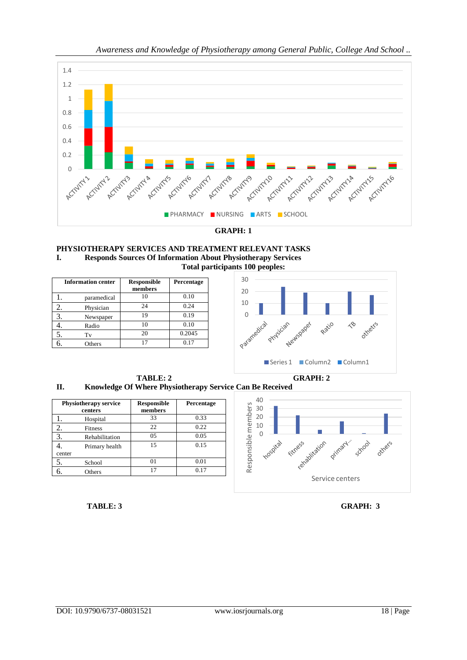

**GRAPH: 1**



| <b>Information center</b> | <b>Responsible</b><br>members | Percentage |
|---------------------------|-------------------------------|------------|
| paramedical               |                               | 0.10       |
| Physician                 | 24                            | 0.24       |
| Newspaper                 | 19                            | 0.19       |
| Radio                     |                               | 0.10       |
| Tv                        | 20                            | 0.2045     |
| Others                    |                               | 0.17       |



**TABLE: 2 GRAPH: 2 II. Knowledge Of Where Physiotherapy Service Can Be Received**

| <b>Physiotherapy service</b><br>centers |                | <b>Responsible</b><br>members | Percentage |
|-----------------------------------------|----------------|-------------------------------|------------|
|                                         | Hospital       | 33                            | 0.33       |
|                                         | <b>Fitness</b> | 22.                           | 0.22       |
| 3.                                      | Rehabilitation | 0.5                           | 0.05       |
|                                         | Primary health | 15                            | 0.15       |
| center                                  |                |                               |            |
| 5.                                      | School         | $^{01}$                       | 0.01       |
|                                         | Others         | 17                            | 0.17       |



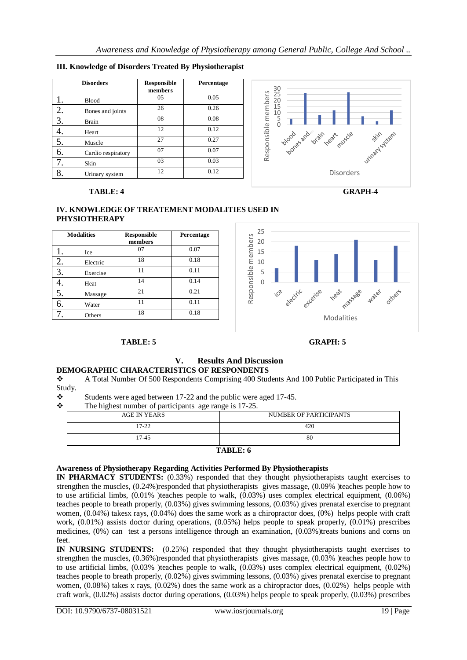### **III. Knowledge of Disorders Treated By Physiotherapist**

|    | <b>Disorders</b>   | <b>Responsible</b><br>members | Percentage |
|----|--------------------|-------------------------------|------------|
|    | <b>Blood</b>       | 05                            | 0.05       |
| 2. | Bones and joints   | 26                            | 0.26       |
| 3. | <b>Brain</b>       | 08                            | 0.08       |
|    | Heart              | 12                            | 0.12       |
| 5. | Muscle             | 27                            | 0.27       |
| 6. | Cardio respiratory | 07                            | 0.07       |
|    | Skin               | 03                            | 0.03       |
|    | Urinary system     | 12                            | 0.12       |



#### **TABLE: 4 GRAPH-4**



#### **IV. KNOWLEDGE OF TREATEMENT MODALITIES USED IN PHYSIOTHERAPY**

|    | <b>Modalities</b> | <b>Responsible</b><br>members | Percentage |
|----|-------------------|-------------------------------|------------|
|    | Ice               | 07                            | 0.07       |
|    | Electric          | 18                            | 0.18       |
| 3. | Exercise          | 11                            | 0.11       |
|    | Heat              | 14                            | 0.14       |
| 5. | Massage           | 21                            | 0.21       |
| h. | Water             | 11                            | 0.11       |
|    | Others            | 18                            | 0.18       |



# **TABLE: 5 GRAPH: 5**

#### **V. Results And Discussion DEMOGRAPHIC CHARACTERISTICS OF RESPONDENTS**

#### A Total Number Of 500 Respondents Comprising 400 Students And 100 Public Participated in This Study.

 $\bullet$  Students were aged between 17-22 and the public were aged 17-45.<br> $\bullet$  The highest number of participants, age range is 17-25

The highest number of participants age range is 17-25.

| --------<br>--0<br>------<br>- - - - - - - - |                        |  |
|----------------------------------------------|------------------------|--|
| AGE IN YEARS                                 | NUMBER OF PARTICIPANTS |  |
|                                              |                        |  |
|                                              |                        |  |
| 17-22                                        | 420                    |  |
|                                              |                        |  |
| $17 - 45$                                    | 80                     |  |
|                                              |                        |  |
|                                              |                        |  |
| $T$ and $T$ . $\ell$                         |                        |  |

# **TABLE: 6**

#### **Awareness of Physiotherapy Regarding Activities Performed By Physiotherapists**

**IN PHARMACY STUDENTS:** (0.33%) responded that they thought physiotherapists taught exercises to strengthen the muscles, (0.24%)responded that physiotherapists gives massage, (0.09% )teaches people how to to use artificial limbs, (0.01% )teaches people to walk, (0.03%) uses complex electrical equipment, (0.06%) teaches people to breath properly, (0.03%) gives swimming lessons, (0.03%) gives prenatal exercise to pregnant women, (0.04%) takesx rays, (0.04%) does the same work as a chiropractor does, (0%) helps people with craft work,  $(0.01\%)$  assists doctor during operations,  $(0.05\%)$  helps people to speak properly,  $(0.01\%)$  prescribes medicines, (0%) can test a persons intelligence through an examination, (0.03%)treats bunions and corns on feet.

**IN NURSING STUDENTS:** (0.25%) responded that they thought physiotherapists taught exercises to strengthen the muscles, (0.36%)responded that physiotherapists gives massage, (0.03% )teaches people how to to use artificial limbs, (0.03% )teaches people to walk, (0.03%) uses complex electrical equipment, (0.02%) teaches people to breath properly, (0.02%) gives swimming lessons, (0.03%) gives prenatal exercise to pregnant women, (0.08%) takes x rays, (0.02%) does the same work as a chiropractor does, (0.02%) helps people with craft work, (0.02%) assists doctor during operations, (0.03%) helps people to speak properly, (0.03%) prescribes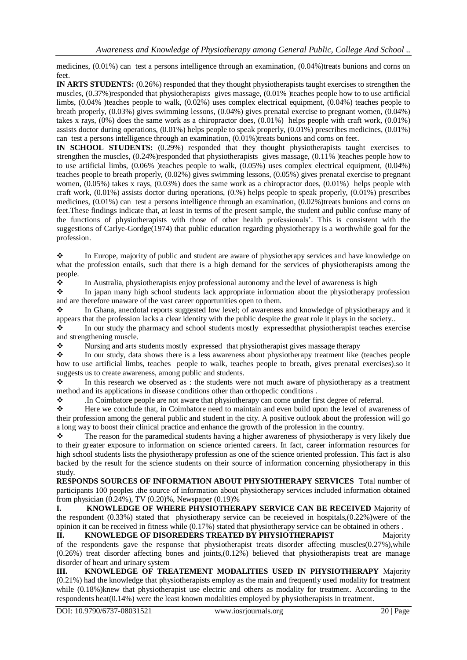medicines, (0.01%) can test a persons intelligence through an examination, (0.04%)treats bunions and corns on feet.

**IN ARTS STUDENTS:** (0.26%) responded that they thought physiotherapists taught exercises to strengthen the muscles, (0.37%)responded that physiotherapists gives massage, (0.01% )teaches people how to to use artificial limbs, (0.04% )teaches people to walk, (0.02%) uses complex electrical equipment, (0.04%) teaches people to breath properly, (0.03%) gives swimming lessons, (0.04%) gives prenatal exercise to pregnant women, (0.04%) takes x rays,  $(0\%)$  does the same work as a chiropractor does,  $(0.01\%)$  helps people with craft work,  $(0.01\%)$ assists doctor during operations, (0.01%) helps people to speak properly, (0.01%) prescribes medicines, (0.01%) can test a persons intelligence through an examination, (0.01%)treats bunions and corns on feet.

**IN SCHOOL STUDENTS:** (0.29%) responded that they thought physiotherapists taught exercises to strengthen the muscles, (0.24%)responded that physiotherapists gives massage, (0.11% )teaches people how to to use artificial limbs, (0.06% )teaches people to walk, (0.05%) uses complex electrical equipment, (0.04%) teaches people to breath properly, (0.02%) gives swimming lessons, (0.05%) gives prenatal exercise to pregnant women,  $(0.05%)$  takes x rays,  $(0.03%)$  does the same work as a chiropractor does,  $(0.01%)$  helps people with craft work, (0.01%) assists doctor during operations, (0.%) helps people to speak properly, (0.01%) prescribes medicines, (0.01%) can test a persons intelligence through an examination, (0.02%)treats bunions and corns on feet.These findings indicate that, at least in terms of the present sample, the student and public confuse many of the functions of physiotherapists with those of other health professionals'. This is consistent with the suggestions of Carlye-Gordge(1974) that public education regarding physiotherapy is a worthwhile goal for the profession.

 In Europe, majority of public and student are aware of physiotherapy services and have knowledge on what the profession entails, such that there is a high demand for the services of physiotherapists among the people.

 $\bullet$  In Australia, physiotherapists enjoy professional autonomy and the level of awareness is high  $\bullet$  In iapan many high school students lack appropriate information about the physiotherapy r

 In japan many high school students lack appropriate information about the physiotherapy profession and are therefore unaware of the vast career opportunities open to them.

 In Ghana, anecdotal reports suggested low level; of awareness and knowledge of physiotherapy and it appears that the profession lacks a clear identity with the public despite the great role it plays in the society..

 In our study the pharmacy and school students mostly expressedthat physiotherapist teaches exercise and strengthening muscle.

Nursing and arts students mostly expressed that physiotherapist gives massage therapy<br>In our study, data shows there is a less awareness about physiotherapy treatment like

 In our study, data shows there is a less awareness about physiotherapy treatment like (teaches people how to use artificial limbs, teaches people to walk, teaches people to breath, gives prenatal exercises).so it suggests us to create awareness, among public and students.

 $\cdot \cdot$  In this research we observed as : the students were not much aware of physiotherapy as a treatment method and its applications in disease conditions other than orthopedic conditions .

.In Coimbatore people are not aware that physiotherapy can come under first degree of referral.

 $\mathbf{\hat{P}}$  Here we conclude that, in Coimbatore need to maintain and even build upon the level of awareness of their profession among the general public and student in the city. A positive outlook about the profession will go a long way to boost their clinical practice and enhance the growth of the profession in the country.

 The reason for the paramedical students having a higher awareness of physiotherapy is very likely due to their greater exposure to information on science oriented careers. In fact, career information resources for high school students lists the physiotherapy profession as one of the science oriented profession. This fact is also backed by the result for the science students on their source of information concerning physiotherapy in this study.

**RESPONDS SOURCES OF INFORMATION ABOUT PHYSIOTHERAPY SERVICES** Total number of participants 100 peoples .the source of information about physiotherapy services included information obtained from physician (0.24%), TV (0.20)%, Newspaper (0.19)%

**I. KNOWLEDGE OF WHERE PHYSIOTHERAPY SERVICE CAN BE RECEIVED Majority of** the respondent (0.33%) stated that physiotherapy service can be receieved in hospitals,(0.22%)were of the opinion it can be received in fitness while (0.17%) stated that physiotherapy service can be obtained in others .

**II. KNOWLEDGE OF DISOREDERS TREATED BY PHYSIOTHERAPIST Majority** of the respondents gave the response that physiotherapist treats disorder affecting muscles $(0.27\%)$ , while (0.26%) treat disorder affecting bones and joints,(0.12%) believed that physiotherapists treat are manage disorder of heart and urinary system

**III. KNOWLEDGE OF TREATEMENT MODALITIES USED IN PHYSIOTHERAPY** Majority (0.21%) had the knowledge that physiotherapists employ as the main and frequently used modality for treatment while (0.18%) knew that physiotherapist use electric and others as modality for treatment. According to the respondents heat(0.14%) were the least known modalities employed by physiotherapists in treatment.